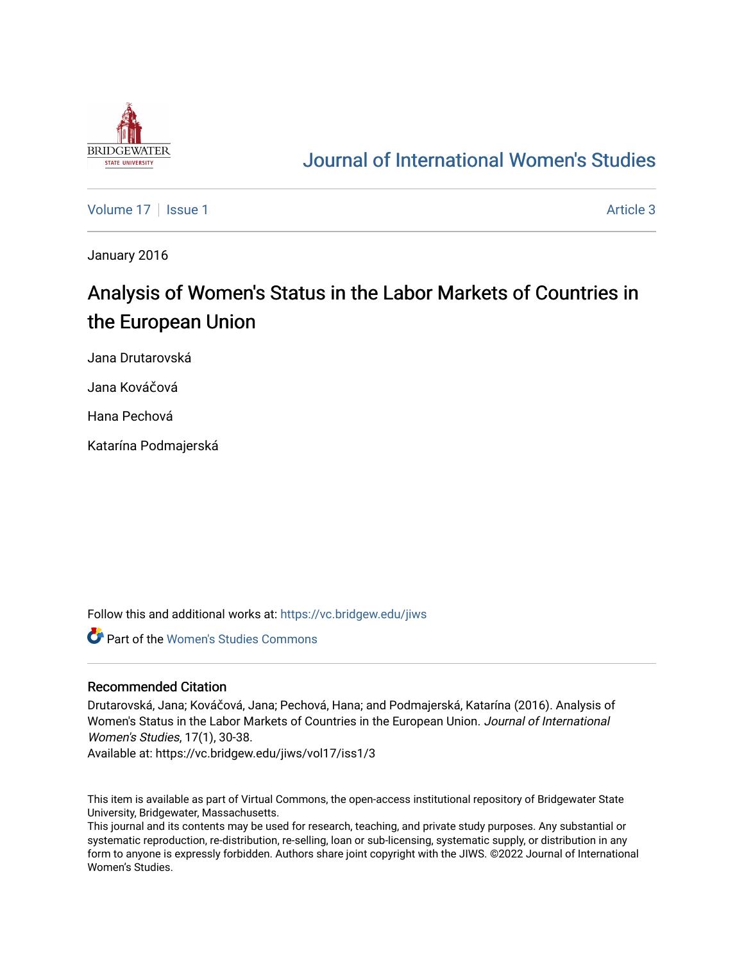

## [Journal of International Women's Studies](https://vc.bridgew.edu/jiws)

[Volume 17](https://vc.bridgew.edu/jiws/vol17) | [Issue 1](https://vc.bridgew.edu/jiws/vol17/iss1) Article 3

January 2016

# Analysis of Women's Status in the Labor Markets of Countries in the European Union

Jana Drutarovská

Jana Kováčová

Hana Pechová

Katarína Podmajerská

Follow this and additional works at: [https://vc.bridgew.edu/jiws](https://vc.bridgew.edu/jiws?utm_source=vc.bridgew.edu%2Fjiws%2Fvol17%2Fiss1%2F3&utm_medium=PDF&utm_campaign=PDFCoverPages)

Part of the [Women's Studies Commons](http://network.bepress.com/hgg/discipline/561?utm_source=vc.bridgew.edu%2Fjiws%2Fvol17%2Fiss1%2F3&utm_medium=PDF&utm_campaign=PDFCoverPages) 

## Recommended Citation

Drutarovská, Jana; Kováčová, Jana; Pechová, Hana; and Podmajerská, Katarína (2016). Analysis of Women's Status in the Labor Markets of Countries in the European Union. Journal of International Women's Studies, 17(1), 30-38.

Available at: https://vc.bridgew.edu/jiws/vol17/iss1/3

This item is available as part of Virtual Commons, the open-access institutional repository of Bridgewater State University, Bridgewater, Massachusetts.

This journal and its contents may be used for research, teaching, and private study purposes. Any substantial or systematic reproduction, re-distribution, re-selling, loan or sub-licensing, systematic supply, or distribution in any form to anyone is expressly forbidden. Authors share joint copyright with the JIWS. ©2022 Journal of International Women's Studies.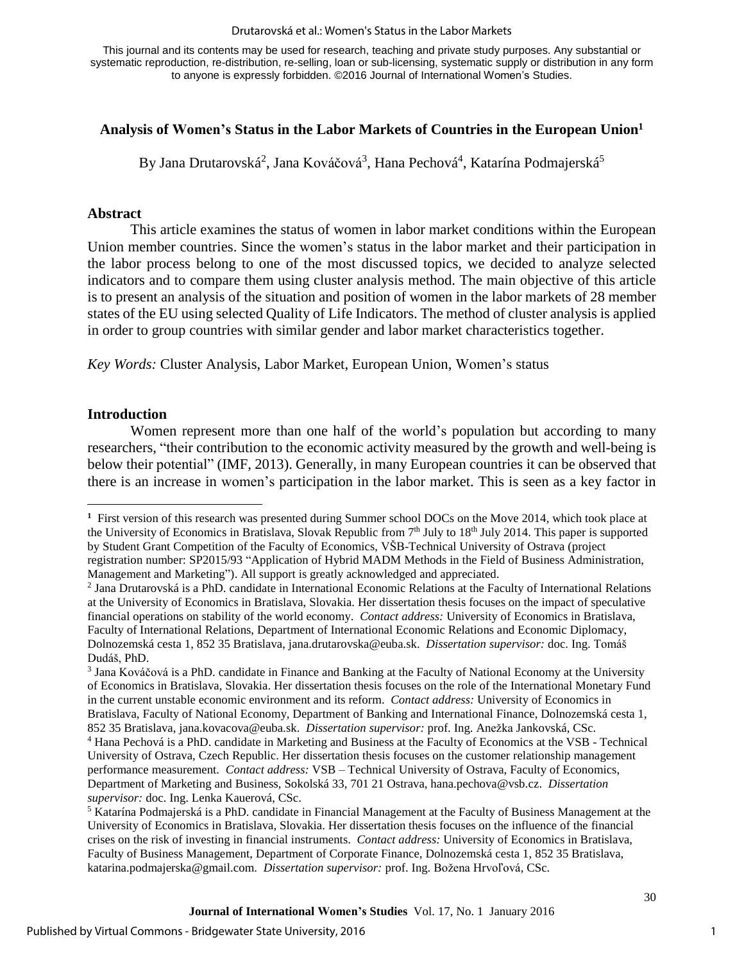#### Drutarovská et al.: Women's Status in the Labor Markets

This journal and its contents may be used for research, teaching and private study purposes. Any substantial or systematic reproduction, re-distribution, re-selling, loan or sub-licensing, systematic supply or distribution in any form to anyone is expressly forbidden. ©2016 Journal of International Women's Studies.

## **Analysis of Women's Status in the Labor Markets of Countries in the European Union<sup>1</sup>**

By Jana Drutarovská<sup>2</sup>, Jana Kováčová<sup>3</sup>, Hana Pechová<sup>4</sup>, Katarína Podmajerská<sup>5</sup>

## **Abstract**

This article examines the status of women in labor market conditions within the European Union member countries. Since the women's status in the labor market and their participation in the labor process belong to one of the most discussed topics, we decided to analyze selected indicators and to compare them using cluster analysis method. The main objective of this article is to present an analysis of the situation and position of women in the labor markets of 28 member states of the EU using selected Quality of Life Indicators. The method of cluster analysis is applied in order to group countries with similar gender and labor market characteristics together.

*Key Words:* Cluster Analysis, Labor Market, European Union, Women's status

#### **Introduction**

 $\overline{a}$ 

Women represent more than one half of the world's population but according to many researchers, "their contribution to the economic activity measured by the growth and well-being is below their potential" (IMF, 2013). Generally, in many European countries it can be observed that there is an increase in women's participation in the labor market. This is seen as a key factor in

<sup>&</sup>lt;sup>1</sup> First version of this research was presented during Summer school DOCs on the Move 2014, which took place at the University of Economics in Bratislava, Slovak Republic from 7<sup>th</sup> July to 18<sup>th</sup> July 2014. This paper is supported by Student Grant Competition of the Faculty of Economics, VŠB-Technical University of Ostrava (project registration number: SP2015/93 "Application of Hybrid MADM Methods in the Field of Business Administration, Management and Marketing"). All support is greatly acknowledged and appreciated.

<sup>2</sup> Jana Drutarovská is a PhD. candidate in International Economic Relations at the Faculty of International Relations at the University of Economics in Bratislava, Slovakia. Her dissertation thesis focuses on the impact of speculative financial operations on stability of the world economy. *Contact address:* University of Economics in Bratislava, Faculty of International Relations, Department of International Economic Relations and Economic Diplomacy, Dolnozemská cesta 1, 852 35 Bratislava, jana.drutarovska@euba.sk. *Dissertation supervisor:* doc. Ing. Tomáš Dudáš, PhD.

<sup>3</sup> Jana Kováčová is a PhD. candidate in Finance and Banking at the Faculty of National Economy at the University of Economics in Bratislava, Slovakia. Her dissertation thesis focuses on the role of the International Monetary Fund in the current unstable economic environment and its reform. *Contact address:* University of Economics in Bratislava, Faculty of National Economy, Department of Banking and International Finance, Dolnozemská cesta 1, 852 35 Bratislava, jana.kovacova@euba.sk. *Dissertation supervisor:* prof. Ing. Anežka Jankovská, CSc.

<sup>4</sup> Hana Pechová is a PhD. candidate in Marketing and Business at the Faculty of Economics at the VSB - Technical University of Ostrava, Czech Republic. Her dissertation thesis focuses on the customer relationship management performance measurement. *Contact address:* VSB – Technical University of Ostrava, Faculty of Economics, Department of Marketing and Business, Sokolská 33, 701 21 Ostrava, hana.pechova@vsb.cz. *Dissertation supervisor:* doc. Ing. Lenka Kauerová, CSc.

<sup>&</sup>lt;sup>5</sup> Katarína Podmajerská is a PhD. candidate in Financial Management at the Faculty of Business Management at the University of Economics in Bratislava, Slovakia. Her dissertation thesis focuses on the influence of the financial crises on the risk of investing in financial instruments. *Contact address:* University of Economics in Bratislava, Faculty of Business Management, Department of Corporate Finance, Dolnozemská cesta 1, 852 35 Bratislava, katarina.podmajerska@gmail.com. *Dissertation supervisor:* prof. Ing. Božena Hrvoľová, CSc.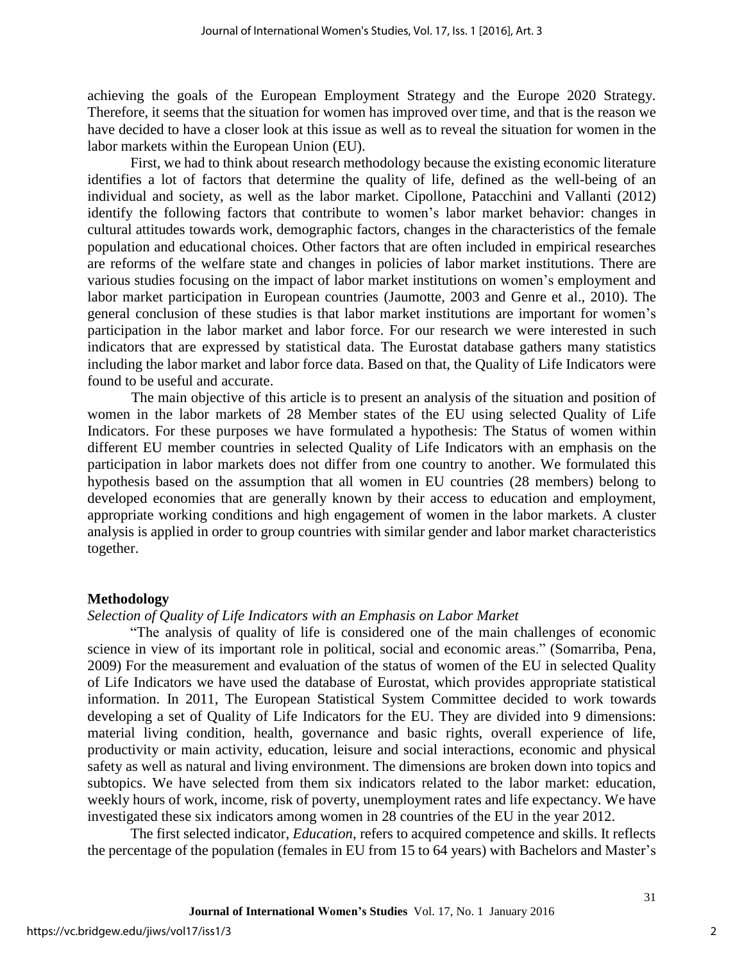achieving the goals of the European Employment Strategy and the Europe 2020 Strategy. Therefore, it seems that the situation for women has improved over time, and that is the reason we have decided to have a closer look at this issue as well as to reveal the situation for women in the labor markets within the European Union (EU).

First, we had to think about research methodology because the existing economic literature identifies a lot of factors that determine the quality of life, defined as the well-being of an individual and society, as well as the labor market. Cipollone, Patacchini and Vallanti (2012) identify the following factors that contribute to women's labor market behavior: changes in cultural attitudes towards work, demographic factors, changes in the characteristics of the female population and educational choices. Other factors that are often included in empirical researches are reforms of the welfare state and changes in policies of labor market institutions. There are various studies focusing on the impact of labor market institutions on women's employment and labor market participation in European countries (Jaumotte, 2003 and Genre et al., 2010). The general conclusion of these studies is that labor market institutions are important for women's participation in the labor market and labor force. For our research we were interested in such indicators that are expressed by statistical data. The Eurostat database gathers many statistics including the labor market and labor force data. Based on that, the Quality of Life Indicators were found to be useful and accurate.

 The main objective of this article is to present an analysis of the situation and position of women in the labor markets of 28 Member states of the EU using selected Quality of Life Indicators. For these purposes we have formulated a hypothesis: The Status of women within different EU member countries in selected Quality of Life Indicators with an emphasis on the participation in labor markets does not differ from one country to another. We formulated this hypothesis based on the assumption that all women in EU countries (28 members) belong to developed economies that are generally known by their access to education and employment, appropriate working conditions and high engagement of women in the labor markets. A cluster analysis is applied in order to group countries with similar gender and labor market characteristics together.

## **Methodology**

#### *Selection of Quality of Life Indicators with an Emphasis on Labor Market*

"The analysis of quality of life is considered one of the main challenges of economic science in view of its important role in political, social and economic areas." (Somarriba, Pena, 2009) For the measurement and evaluation of the status of women of the EU in selected Quality of Life Indicators we have used the database of Eurostat, which provides appropriate statistical information. In 2011, The European Statistical System Committee decided to work towards developing a set of Quality of Life Indicators for the EU. They are divided into 9 dimensions: material living condition, health, governance and basic rights, overall experience of life, productivity or main activity, education, leisure and social interactions, economic and physical safety as well as natural and living environment. The dimensions are broken down into topics and subtopics. We have selected from them six indicators related to the labor market: education, weekly hours of work, income, risk of poverty, unemployment rates and life expectancy. We have investigated these six indicators among women in 28 countries of the EU in the year 2012.

The first selected indicator, *Education*, refers to acquired competence and skills. It reflects the percentage of the population (females in EU from 15 to 64 years) with Bachelors and Master's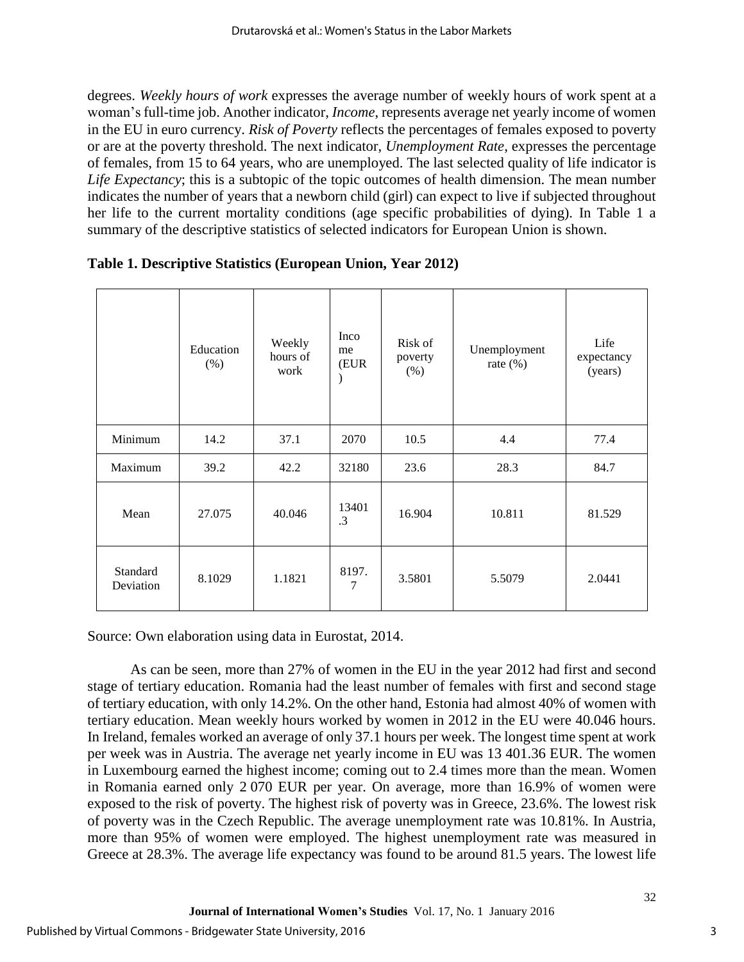degrees. *Weekly hours of work* expresses the average number of weekly hours of work spent at a woman's full-time job. Another indicator, *Income*, represents average net yearly income of women in the EU in euro currency. *Risk of Poverty* reflects the percentages of females exposed to poverty or are at the poverty threshold. The next indicator, *Unemployment Rate*, expresses the percentage of females, from 15 to 64 years, who are unemployed. The last selected quality of life indicator is *Life Expectancy*; this is a subtopic of the topic outcomes of health dimension. The mean number indicates the number of years that a newborn child (girl) can expect to live if subjected throughout her life to the current mortality conditions (age specific probabilities of dying). In Table 1 a summary of the descriptive statistics of selected indicators for European Union is shown.

|                       | Education<br>$(\% )$ | Weekly<br>hours of<br>work | Inco<br>me<br>(EUR<br>$\mathcal{C}$ | Risk of<br>poverty<br>$(\%)$ | Unemployment<br>rate $(\%)$ | Life<br>expectancy<br>(years) |
|-----------------------|----------------------|----------------------------|-------------------------------------|------------------------------|-----------------------------|-------------------------------|
| Minimum               | 14.2                 | 37.1                       | 2070                                | 10.5                         | 4.4                         | 77.4                          |
| Maximum               | 39.2                 | 42.2                       | 32180                               | 23.6                         | 28.3                        | 84.7                          |
| Mean                  | 27.075               | 40.046                     | 13401<br>.3                         | 16.904                       | 10.811                      | 81.529                        |
| Standard<br>Deviation | 8.1029               | 1.1821                     | 8197.<br>7                          | 3.5801                       | 5.5079                      | 2.0441                        |

|  |  | Table 1. Descriptive Statistics (European Union, Year 2012) |  |
|--|--|-------------------------------------------------------------|--|
|  |  |                                                             |  |

Source: Own elaboration using data in Eurostat, 2014.

As can be seen, more than 27% of women in the EU in the year 2012 had first and second stage of tertiary education. Romania had the least number of females with first and second stage of tertiary education, with only 14.2%. On the other hand, Estonia had almost 40% of women with tertiary education. Mean weekly hours worked by women in 2012 in the EU were 40.046 hours. In Ireland, females worked an average of only 37.1 hours per week. The longest time spent at work per week was in Austria. The average net yearly income in EU was 13 401.36 EUR. The women in Luxembourg earned the highest income; coming out to 2.4 times more than the mean. Women in Romania earned only 2 070 EUR per year. On average, more than 16.9% of women were exposed to the risk of poverty. The highest risk of poverty was in Greece, 23.6%. The lowest risk of poverty was in the Czech Republic. The average unemployment rate was 10.81%. In Austria, more than 95% of women were employed. The highest unemployment rate was measured in Greece at 28.3%. The average life expectancy was found to be around 81.5 years. The lowest life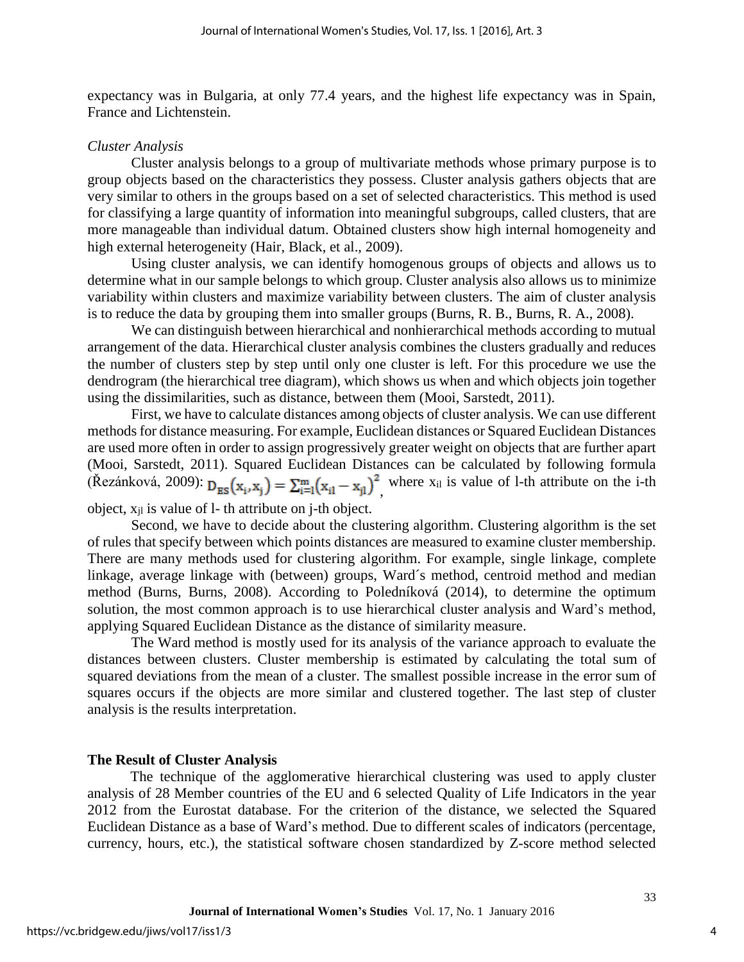expectancy was in Bulgaria, at only 77.4 years, and the highest life expectancy was in Spain, France and Lichtenstein.

#### *Cluster Analysis*

Cluster analysis belongs to a group of multivariate methods whose primary purpose is to group objects based on the characteristics they possess. Cluster analysis gathers objects that are very similar to others in the groups based on a set of selected characteristics. This method is used for classifying a large quantity of information into meaningful subgroups, called clusters, that are more manageable than individual datum. Obtained clusters show high internal homogeneity and high external heterogeneity (Hair, Black, et al., 2009).

Using cluster analysis, we can identify homogenous groups of objects and allows us to determine what in our sample belongs to which group. Cluster analysis also allows us to minimize variability within clusters and maximize variability between clusters. The aim of cluster analysis is to reduce the data by grouping them into smaller groups (Burns, R. B., Burns, R. A., 2008).

We can distinguish between hierarchical and nonhierarchical methods according to mutual arrangement of the data. Hierarchical cluster analysis combines the clusters gradually and reduces the number of clusters step by step until only one cluster is left. For this procedure we use the dendrogram (the hierarchical tree diagram), which shows us when and which objects join together using the dissimilarities, such as distance, between them (Mooi, Sarstedt, 2011).

First, we have to calculate distances among objects of cluster analysis. We can use different methods for distance measuring. For example, Euclidean distances or Squared Euclidean Distances are used more often in order to assign progressively greater weight on objects that are further apart (Mooi, Sarstedt, 2011). Squared Euclidean Distances can be calculated by following formula (Řezánková, 2009): where  $x_{il}$  is value of 1-th attribute on the i-th,

object,  $x_{il}$  is value of 1- th attribute on j-th object.

Second, we have to decide about the clustering algorithm. Clustering algorithm is the set of rules that specify between which points distances are measured to examine cluster membership. There are many methods used for clustering algorithm. For example, single linkage, complete linkage, average linkage with (between) groups, Ward´s method, centroid method and median method (Burns, Burns, 2008). According to Poledníková (2014), to determine the optimum solution, the most common approach is to use hierarchical cluster analysis and Ward's method, applying Squared Euclidean Distance as the distance of similarity measure.

The Ward method is mostly used for its analysis of the variance approach to evaluate the distances between clusters. Cluster membership is estimated by calculating the total sum of squared deviations from the mean of a cluster. The smallest possible increase in the error sum of squares occurs if the objects are more similar and clustered together. The last step of cluster analysis is the results interpretation.

## **The Result of Cluster Analysis**

The technique of the agglomerative hierarchical clustering was used to apply cluster analysis of 28 Member countries of the EU and 6 selected Quality of Life Indicators in the year 2012 from the Eurostat database. For the criterion of the distance, we selected the Squared Euclidean Distance as a base of Ward's method. Due to different scales of indicators (percentage, currency, hours, etc.), the statistical software chosen standardized by Z-score method selected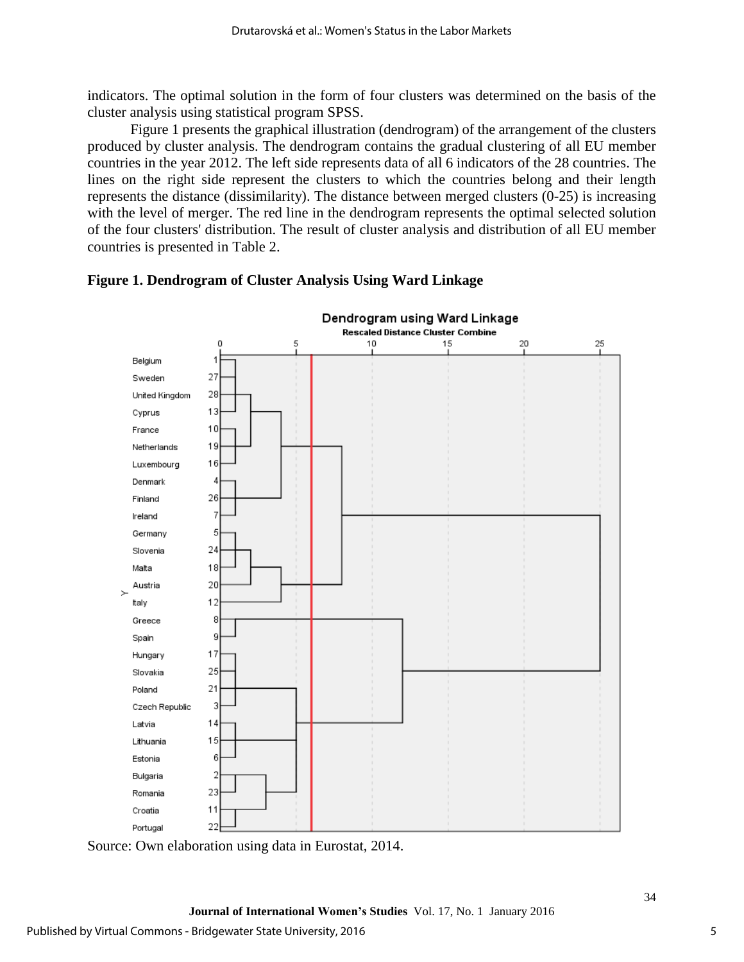indicators. The optimal solution in the form of four clusters was determined on the basis of the cluster analysis using statistical program SPSS.

Figure 1 presents the graphical illustration (dendrogram) of the arrangement of the clusters produced by cluster analysis. The dendrogram contains the gradual clustering of all EU member countries in the year 2012. The left side represents data of all 6 indicators of the 28 countries. The lines on the right side represent the clusters to which the countries belong and their length represents the distance (dissimilarity). The distance between merged clusters (0-25) is increasing with the level of merger. The red line in the dendrogram represents the optimal selected solution of the four clusters' distribution. The result of cluster analysis and distribution of all EU member countries is presented in Table 2.



## **Figure 1. Dendrogram of Cluster Analysis Using Ward Linkage**

Source: Own elaboration using data in Eurostat, 2014.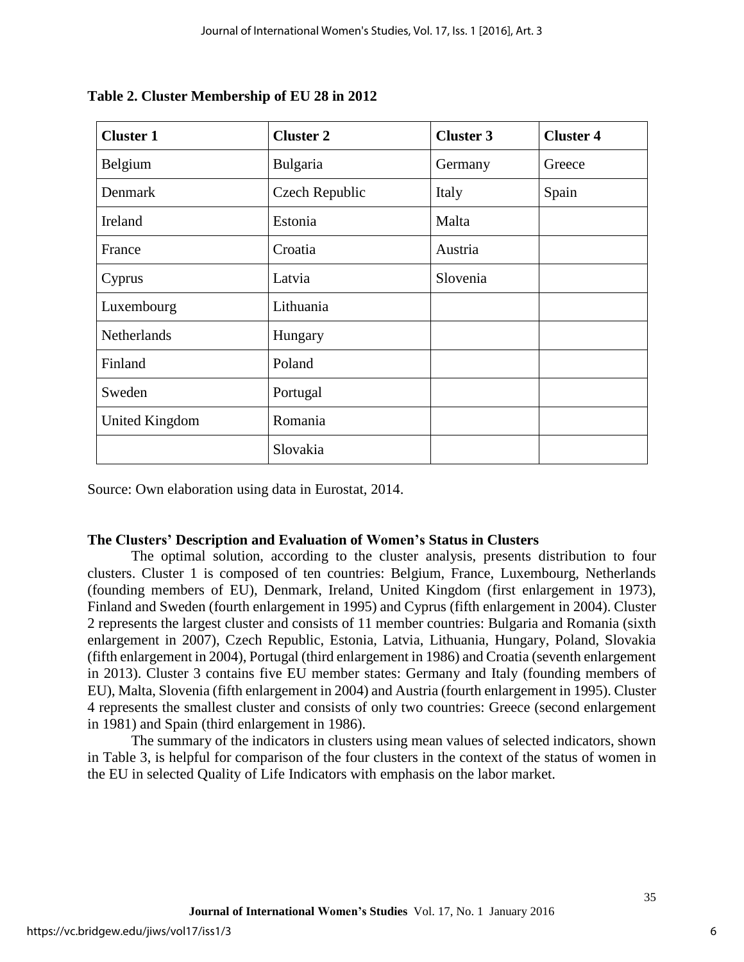| <b>Cluster 1</b>      | <b>Cluster 2</b> | <b>Cluster 3</b> | <b>Cluster 4</b> |
|-----------------------|------------------|------------------|------------------|
| Belgium               | Bulgaria         | Germany          | Greece           |
| Denmark               | Czech Republic   | Italy            | Spain            |
| Ireland               | Estonia          | Malta            |                  |
| France                | Croatia          | Austria          |                  |
| Cyprus                | Latvia           | Slovenia         |                  |
| Luxembourg            | Lithuania        |                  |                  |
| Netherlands           | Hungary          |                  |                  |
| Finland               | Poland           |                  |                  |
| Sweden                | Portugal         |                  |                  |
| <b>United Kingdom</b> | Romania          |                  |                  |
|                       | Slovakia         |                  |                  |

## **Table 2. Cluster Membership of EU 28 in 2012**

Source: Own elaboration using data in Eurostat, 2014.

## **The Clusters' Description and Evaluation of Women's Status in Clusters**

The optimal solution, according to the cluster analysis, presents distribution to four clusters. Cluster 1 is composed of ten countries: Belgium, France, Luxembourg, Netherlands (founding members of EU), Denmark, Ireland, United Kingdom (first enlargement in 1973), Finland and Sweden (fourth enlargement in 1995) and Cyprus (fifth enlargement in 2004). Cluster 2 represents the largest cluster and consists of 11 member countries: Bulgaria and Romania (sixth enlargement in 2007), Czech Republic, Estonia, Latvia, Lithuania, Hungary, Poland, Slovakia (fifth enlargement in 2004), Portugal (third enlargement in 1986) and Croatia (seventh enlargement in 2013). Cluster 3 contains five EU member states: Germany and Italy (founding members of EU), Malta, Slovenia (fifth enlargement in 2004) and Austria (fourth enlargement in 1995). Cluster 4 represents the smallest cluster and consists of only two countries: Greece (second enlargement in 1981) and Spain (third enlargement in 1986).

The summary of the indicators in clusters using mean values of selected indicators, shown in Table 3, is helpful for comparison of the four clusters in the context of the status of women in the EU in selected Quality of Life Indicators with emphasis on the labor market.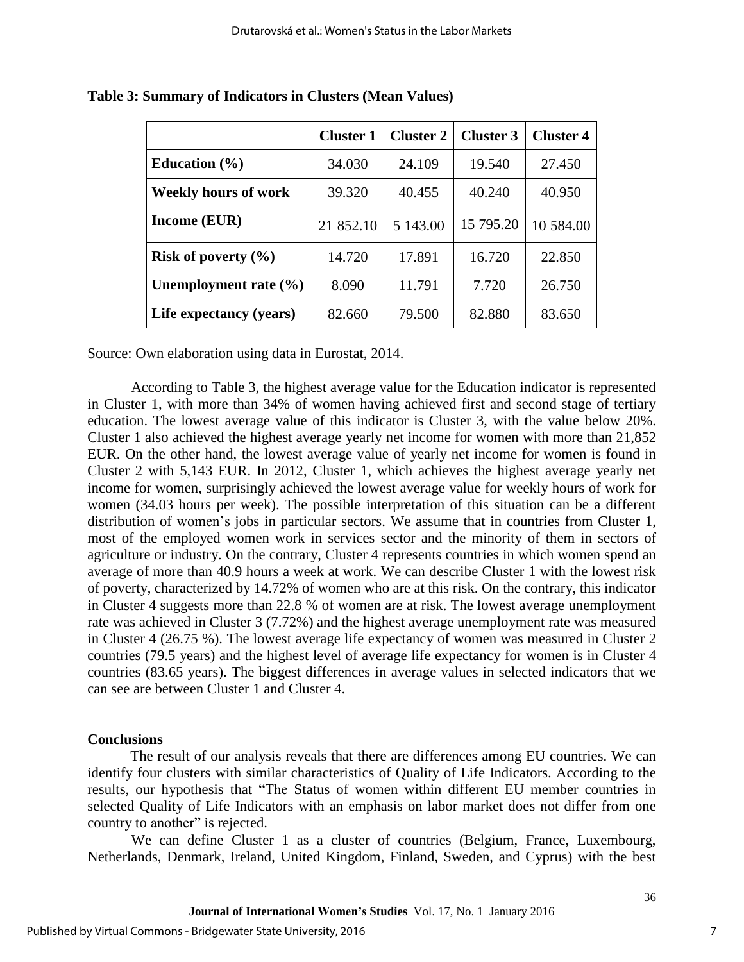|                             | <b>Cluster 1</b> | <b>Cluster 2</b> | <b>Cluster 3</b> | <b>Cluster 4</b> |
|-----------------------------|------------------|------------------|------------------|------------------|
| Education $(\% )$           | 34.030           | 24.109           | 19.540           | 27.450           |
| <b>Weekly hours of work</b> | 39.320           | 40.455           | 40.240           | 40.950           |
| <b>Income (EUR)</b>         | 21 852.10        | 5 143.00         | 15 795.20        | 10 584.00        |
| Risk of poverty $(\% )$     | 14.720           | 17.891           | 16.720           | 22.850           |
| Unemployment rate $(\% )$   | 8.090            | 11.791           | 7.720            | 26.750           |
| Life expectancy (years)     | 82.660           | 79.500           | 82.880           | 83.650           |

**Table 3: Summary of Indicators in Clusters (Mean Values)**

Source: Own elaboration using data in Eurostat, 2014.

According to Table 3, the highest average value for the Education indicator is represented in Cluster 1, with more than 34% of women having achieved first and second stage of tertiary education. The lowest average value of this indicator is Cluster 3, with the value below 20%. Cluster 1 also achieved the highest average yearly net income for women with more than 21,852 EUR. On the other hand, the lowest average value of yearly net income for women is found in Cluster 2 with 5,143 EUR. In 2012, Cluster 1, which achieves the highest average yearly net income for women, surprisingly achieved the lowest average value for weekly hours of work for women (34.03 hours per week). The possible interpretation of this situation can be a different distribution of women's jobs in particular sectors. We assume that in countries from Cluster 1, most of the employed women work in services sector and the minority of them in sectors of agriculture or industry. On the contrary, Cluster 4 represents countries in which women spend an average of more than 40.9 hours a week at work. We can describe Cluster 1 with the lowest risk of poverty, characterized by 14.72% of women who are at this risk. On the contrary, this indicator in Cluster 4 suggests more than 22.8 % of women are at risk. The lowest average unemployment rate was achieved in Cluster 3 (7.72%) and the highest average unemployment rate was measured in Cluster 4 (26.75 %). The lowest average life expectancy of women was measured in Cluster 2 countries (79.5 years) and the highest level of average life expectancy for women is in Cluster 4 countries (83.65 years). The biggest differences in average values in selected indicators that we can see are between Cluster 1 and Cluster 4.

## **Conclusions**

The result of our analysis reveals that there are differences among EU countries. We can identify four clusters with similar characteristics of Quality of Life Indicators. According to the results, our hypothesis that "The Status of women within different EU member countries in selected Quality of Life Indicators with an emphasis on labor market does not differ from one country to another" is rejected.

We can define Cluster 1 as a cluster of countries (Belgium, France, Luxembourg, Netherlands, Denmark, Ireland, United Kingdom, Finland, Sweden, and Cyprus) with the best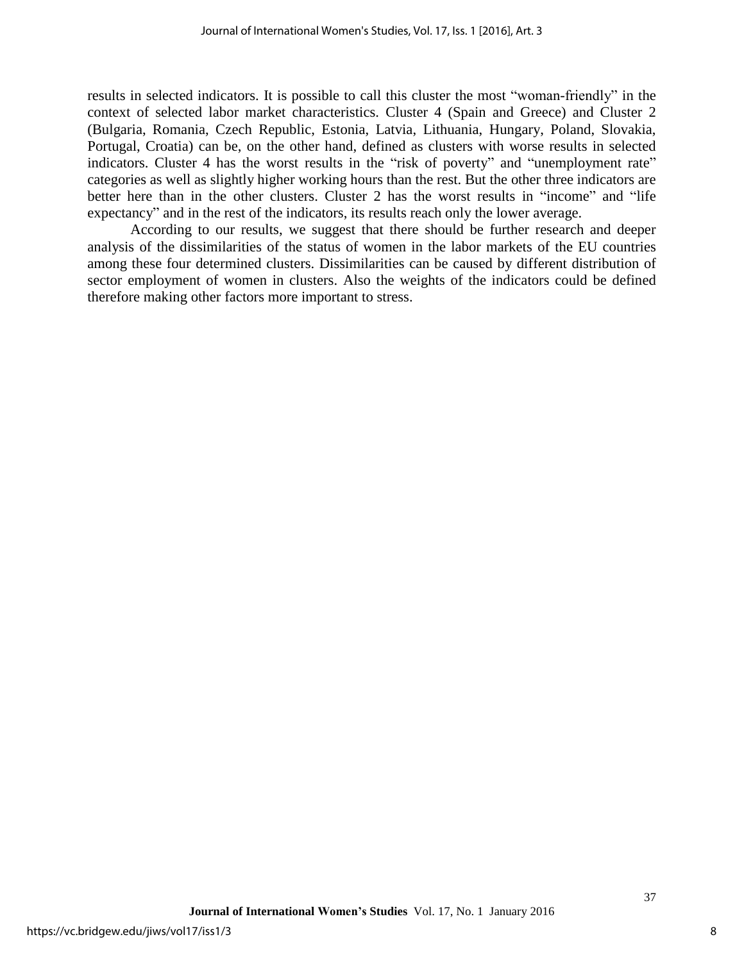results in selected indicators. It is possible to call this cluster the most "woman-friendly" in the context of selected labor market characteristics. Cluster 4 (Spain and Greece) and Cluster 2 (Bulgaria, Romania, Czech Republic, Estonia, Latvia, Lithuania, Hungary, Poland, Slovakia, Portugal, Croatia) can be, on the other hand, defined as clusters with worse results in selected indicators. Cluster 4 has the worst results in the "risk of poverty" and "unemployment rate" categories as well as slightly higher working hours than the rest. But the other three indicators are better here than in the other clusters. Cluster 2 has the worst results in "income" and "life expectancy" and in the rest of the indicators, its results reach only the lower average.

According to our results, we suggest that there should be further research and deeper analysis of the dissimilarities of the status of women in the labor markets of the EU countries among these four determined clusters. Dissimilarities can be caused by different distribution of sector employment of women in clusters. Also the weights of the indicators could be defined therefore making other factors more important to stress.